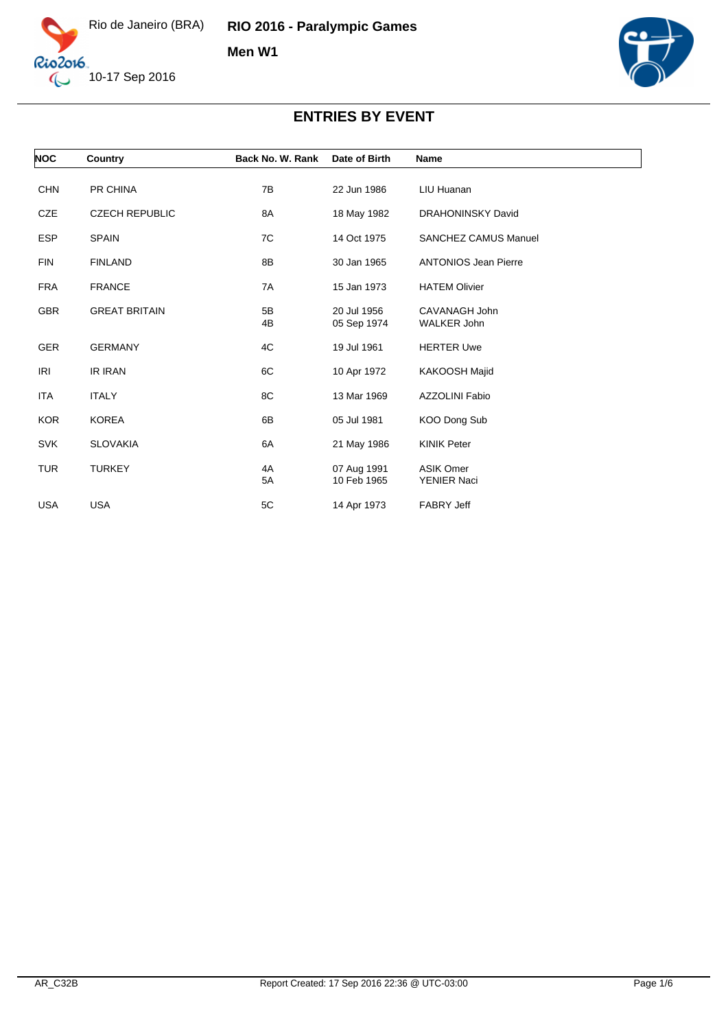

**RIO 2016 - Paralympic Games**

**Men W1**



| <b>NOC</b> | Country               | Back No. W. Rank | Date of Birth              | Name                                   |  |
|------------|-----------------------|------------------|----------------------------|----------------------------------------|--|
| <b>CHN</b> | PR CHINA              | 7B               | 22 Jun 1986                | LIU Huanan                             |  |
| CZE        | <b>CZECH REPUBLIC</b> | 8A               | 18 May 1982                | <b>DRAHONINSKY David</b>               |  |
| <b>ESP</b> | <b>SPAIN</b>          | 7C               | 14 Oct 1975                | <b>SANCHEZ CAMUS Manuel</b>            |  |
| <b>FIN</b> | <b>FINLAND</b>        | 8B               | 30 Jan 1965                | <b>ANTONIOS Jean Pierre</b>            |  |
| <b>FRA</b> | <b>FRANCE</b>         | 7A               | 15 Jan 1973                | <b>HATEM Olivier</b>                   |  |
| <b>GBR</b> | <b>GREAT BRITAIN</b>  | 5B<br>4B         | 20 Jul 1956<br>05 Sep 1974 | CAVANAGH John<br><b>WALKER John</b>    |  |
| <b>GER</b> | <b>GERMANY</b>        | 4C               | 19 Jul 1961                | <b>HERTER Uwe</b>                      |  |
| <b>IRI</b> | <b>IR IRAN</b>        | 6C               | 10 Apr 1972                | KAKOOSH Majid                          |  |
| ITA        | <b>ITALY</b>          | 8C               | 13 Mar 1969                | <b>AZZOLINI Fabio</b>                  |  |
| <b>KOR</b> | <b>KOREA</b>          | 6B               | 05 Jul 1981                | KOO Dong Sub                           |  |
| <b>SVK</b> | <b>SLOVAKIA</b>       | 6A               | 21 May 1986                | <b>KINIK Peter</b>                     |  |
| <b>TUR</b> | <b>TURKEY</b>         | 4A<br>5A         | 07 Aug 1991<br>10 Feb 1965 | <b>ASIK Omer</b><br><b>YENIER Naci</b> |  |
| <b>USA</b> | <b>USA</b>            | 5C               | 14 Apr 1973                | <b>FABRY Jeff</b>                      |  |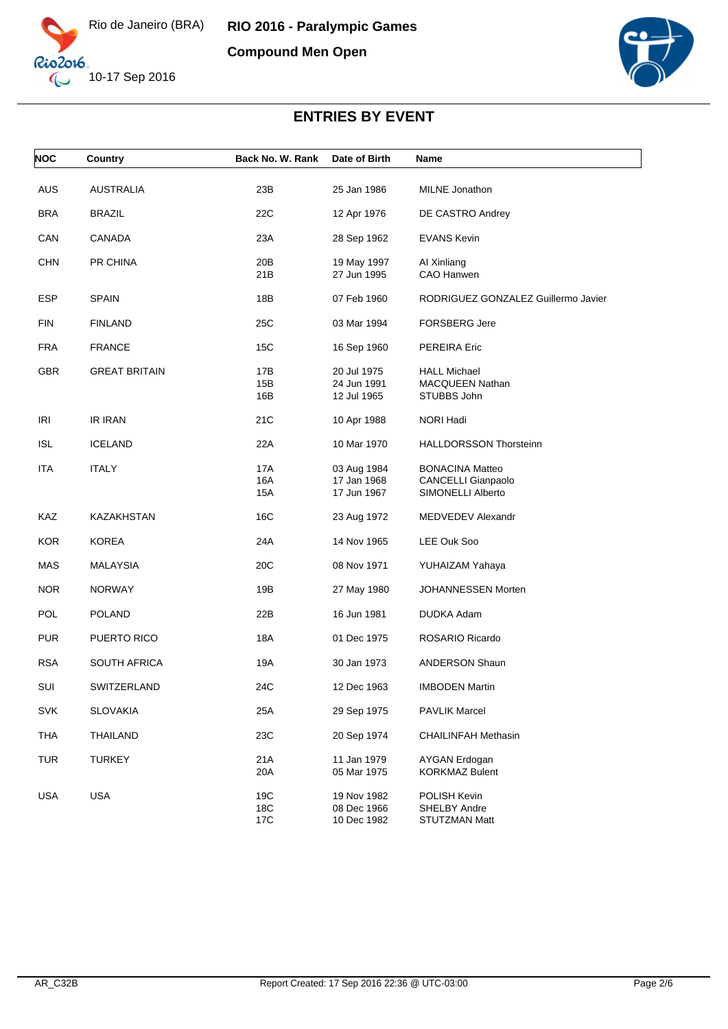





| <b>NOC</b> | Country              | Back No. W. Rank         | Date of Birth                             | Name                                                                     |
|------------|----------------------|--------------------------|-------------------------------------------|--------------------------------------------------------------------------|
| <b>AUS</b> | <b>AUSTRALIA</b>     | 23B                      | 25 Jan 1986                               | <b>MILNE</b> Jonathon                                                    |
| <b>BRA</b> | <b>BRAZIL</b>        | 22C                      | 12 Apr 1976                               | DE CASTRO Andrey                                                         |
| CAN        | <b>CANADA</b>        | 23A                      | 28 Sep 1962                               | <b>EVANS Kevin</b>                                                       |
| <b>CHN</b> | PR CHINA             | 20B<br>21B               | 19 May 1997<br>27 Jun 1995                | AI Xinliang<br>CAO Hanwen                                                |
| ESP        | <b>SPAIN</b>         | 18B                      | 07 Feb 1960                               | RODRIGUEZ GONZALEZ Guillermo Javier                                      |
| <b>FIN</b> | <b>FINLAND</b>       | 25C                      | 03 Mar 1994                               | <b>FORSBERG Jere</b>                                                     |
| <b>FRA</b> | <b>FRANCE</b>        | 15C                      | 16 Sep 1960                               | <b>PEREIRA Eric</b>                                                      |
| <b>GBR</b> | <b>GREAT BRITAIN</b> | 17B<br>15B<br>16B        | 20 Jul 1975<br>24 Jun 1991<br>12 Jul 1965 | <b>HALL Michael</b><br><b>MACQUEEN Nathan</b><br>STUBBS John             |
| <b>IRI</b> | <b>IR IRAN</b>       | 21C                      | 10 Apr 1988                               | NORI Hadi                                                                |
| <b>ISL</b> | <b>ICELAND</b>       | 22A                      | 10 Mar 1970                               | <b>HALLDORSSON Thorsteinn</b>                                            |
| ITA        | <b>ITALY</b>         | <b>17A</b><br>16A<br>15A | 03 Aug 1984<br>17 Jan 1968<br>17 Jun 1967 | <b>BONACINA Matteo</b><br><b>CANCELLI Gianpaolo</b><br>SIMONELLI Alberto |
| KAZ        | KAZAKHSTAN           | 16C                      | 23 Aug 1972                               | MEDVEDEV Alexandr                                                        |
| <b>KOR</b> | <b>KOREA</b>         | 24A                      | 14 Nov 1965                               | LEE Ouk Soo                                                              |
| MAS        | <b>MALAYSIA</b>      | 20C                      | 08 Nov 1971                               | YUHAIZAM Yahaya                                                          |
| <b>NOR</b> | <b>NORWAY</b>        | 19B                      | 27 May 1980                               | JOHANNESSEN Morten                                                       |
| <b>POL</b> | <b>POLAND</b>        | 22B                      | 16 Jun 1981                               | DUDKA Adam                                                               |
| <b>PUR</b> | PUERTO RICO          | <b>18A</b>               | 01 Dec 1975                               | ROSARIO Ricardo                                                          |
| <b>RSA</b> | <b>SOUTH AFRICA</b>  | 19A                      | 30 Jan 1973                               | <b>ANDERSON Shaun</b>                                                    |
| SUI        | SWITZERLAND          | 24C                      | 12 Dec 1963                               | <b>IMBODEN Martin</b>                                                    |
| <b>SVK</b> | <b>SLOVAKIA</b>      | 25A                      | 29 Sep 1975                               | <b>PAVLIK Marcel</b>                                                     |
| <b>THA</b> | <b>THAILAND</b>      | 23C                      | 20 Sep 1974                               | <b>CHAILINFAH Methasin</b>                                               |
| <b>TUR</b> | <b>TURKEY</b>        | 21A<br>20A               | 11 Jan 1979<br>05 Mar 1975                | <b>AYGAN Erdogan</b><br><b>KORKMAZ Bulent</b>                            |
| USA        | USA                  | 19C<br>18C<br>17C        | 19 Nov 1982<br>08 Dec 1966<br>10 Dec 1982 | POLISH Kevin<br>SHELBY Andre<br><b>STUTZMAN Matt</b>                     |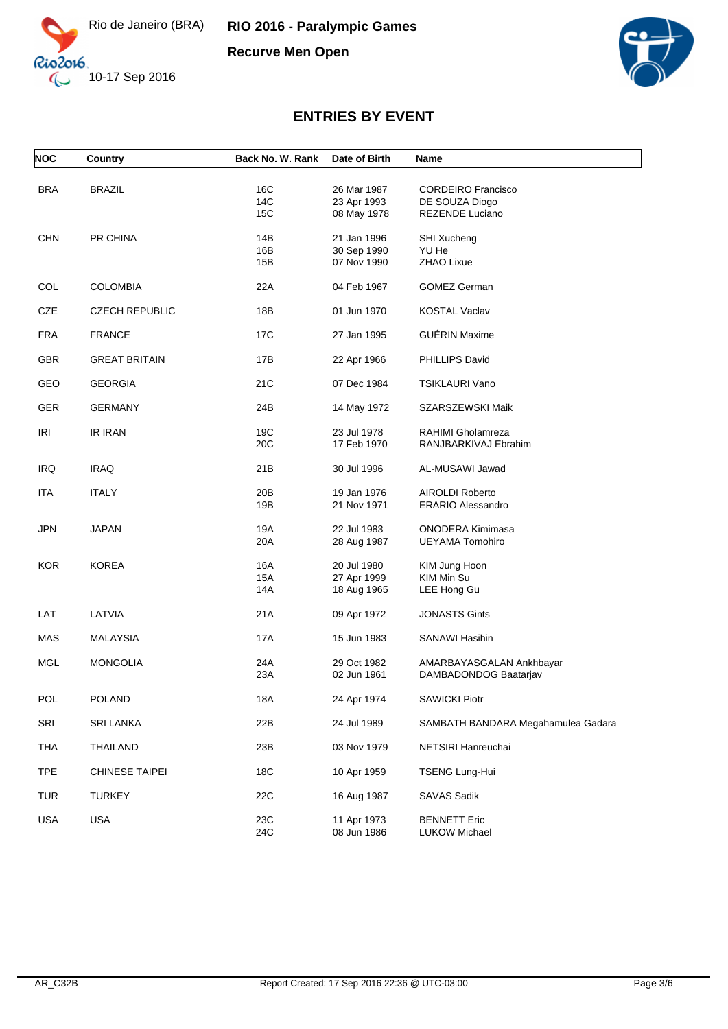

**Recurve Men Open** 



| <b>NOC</b> | Country               | Back No. W. Rank  | Date of Birth                             | Name                                              |
|------------|-----------------------|-------------------|-------------------------------------------|---------------------------------------------------|
| <b>BRA</b> | <b>BRAZIL</b>         | 16C<br>14C        | 26 Mar 1987<br>23 Apr 1993                | <b>CORDEIRO Francisco</b><br>DE SOUZA Diogo       |
|            |                       | 15C               | 08 May 1978                               | REZENDE Luciano                                   |
| <b>CHN</b> | PR CHINA              | 14B<br>16B<br>15B | 21 Jan 1996<br>30 Sep 1990<br>07 Nov 1990 | SHI Xucheng<br>YU He<br>ZHAO Lixue                |
|            |                       |                   |                                           |                                                   |
| COL        | <b>COLOMBIA</b>       | 22A               | 04 Feb 1967                               | <b>GOMEZ German</b>                               |
| <b>CZE</b> | <b>CZECH REPUBLIC</b> | 18B               | 01 Jun 1970                               | <b>KOSTAL Vaclav</b>                              |
| <b>FRA</b> | <b>FRANCE</b>         | 17C               | 27 Jan 1995                               | <b>GUÉRIN Maxime</b>                              |
| <b>GBR</b> | <b>GREAT BRITAIN</b>  | 17B               | 22 Apr 1966                               | PHILLIPS David                                    |
| GEO        | <b>GEORGIA</b>        | 21C               | 07 Dec 1984                               | <b>TSIKLAURI Vano</b>                             |
| <b>GER</b> | <b>GERMANY</b>        | 24B               | 14 May 1972                               | SZARSZEWSKI Maik                                  |
| <b>IRI</b> | <b>IR IRAN</b>        | 19C               | 23 Jul 1978                               | RAHIMI Gholamreza                                 |
|            |                       | 20C               | 17 Feb 1970                               | RANJBARKIVAJ Ebrahim                              |
| <b>IRQ</b> | <b>IRAQ</b>           | 21B               | 30 Jul 1996                               | AL-MUSAWI Jawad                                   |
| <b>ITA</b> | <b>ITALY</b>          | 20 <sub>B</sub>   | 19 Jan 1976                               | <b>AIROLDI Roberto</b>                            |
|            |                       | 19B               | 21 Nov 1971                               | <b>ERARIO Alessandro</b>                          |
| <b>JPN</b> | <b>JAPAN</b>          | 19A<br>20A        | 22 Jul 1983<br>28 Aug 1987                | <b>ONODERA Kimimasa</b><br><b>UEYAMA Tomohiro</b> |
| <b>KOR</b> | <b>KOREA</b>          | 16A               | 20 Jul 1980                               | KIM Jung Hoon                                     |
|            |                       | 15A<br>14A        | 27 Apr 1999<br>18 Aug 1965                | KIM Min Su<br>LEE Hong Gu                         |
|            |                       |                   |                                           |                                                   |
| LAT        | LATVIA                | 21A               | 09 Apr 1972                               | <b>JONASTS Gints</b>                              |
| MAS        | <b>MALAYSIA</b>       | 17A               | 15 Jun 1983                               | SANAWI Hasihin                                    |
| <b>MGL</b> | <b>MONGOLIA</b>       | 24A               | 29 Oct 1982                               | AMARBAYASGALAN Ankhbayar                          |
|            |                       | 23A               | 02 Jun 1961                               | DAMBADONDOG Baatarjav                             |
| POL        | <b>POLAND</b>         | 18A               | 24 Apr 1974                               | <b>SAWICKI Piotr</b>                              |
| <b>SRI</b> | <b>SRI LANKA</b>      | 22B               | 24 Jul 1989                               | SAMBATH BANDARA Megahamulea Gadara                |
| <b>THA</b> | THAILAND              | 23B               | 03 Nov 1979                               | NETSIRI Hanreuchai                                |
| <b>TPE</b> | CHINESE TAIPEI        | 18C               | 10 Apr 1959                               | TSENG Lung-Hui                                    |
| <b>TUR</b> | <b>TURKEY</b>         | 22C               | 16 Aug 1987                               | SAVAS Sadik                                       |
| USA        | <b>USA</b>            | 23C<br>24C        | 11 Apr 1973<br>08 Jun 1986                | <b>BENNETT Eric</b><br><b>LUKOW Michael</b>       |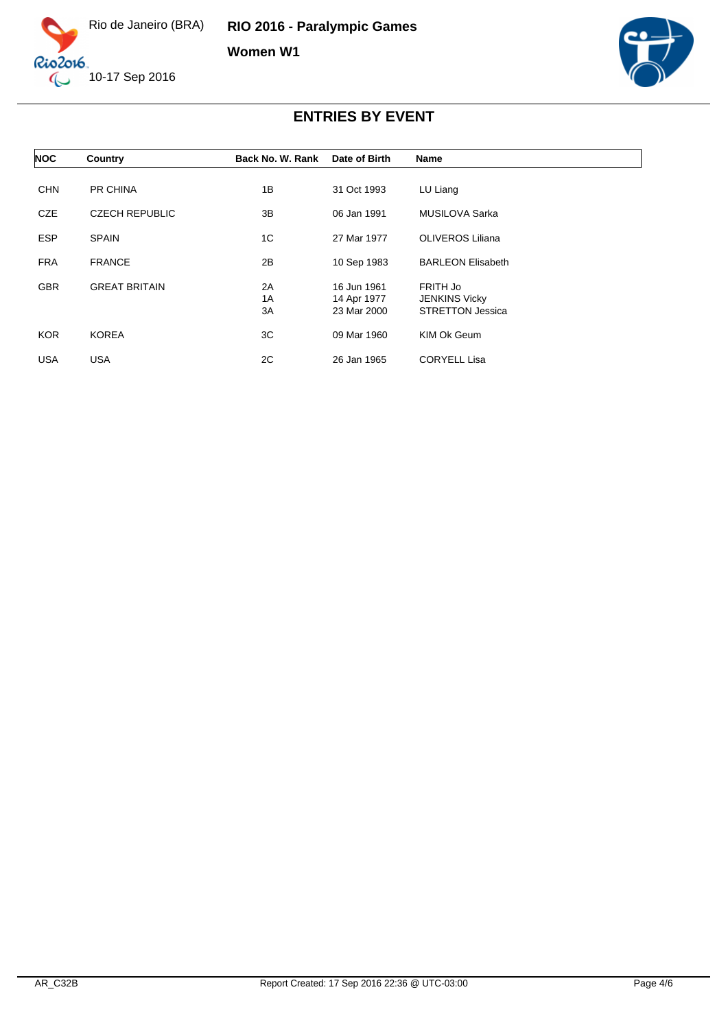

**Women W1**



| <b>NOC</b> | Country               | Back No. W. Rank | Date of Birth                             | Name                                                        |
|------------|-----------------------|------------------|-------------------------------------------|-------------------------------------------------------------|
| <b>CHN</b> | PR CHINA              | 1B               | 31 Oct 1993                               | LU Liang                                                    |
| <b>CZE</b> | <b>CZECH REPUBLIC</b> | 3B               | 06 Jan 1991                               | MUSILOVA Sarka                                              |
| <b>ESP</b> | <b>SPAIN</b>          | 1C               | 27 Mar 1977                               | <b>OLIVEROS Liliana</b>                                     |
| <b>FRA</b> | <b>FRANCE</b>         | 2B               | 10 Sep 1983                               | <b>BARLEON Elisabeth</b>                                    |
| <b>GBR</b> | <b>GREAT BRITAIN</b>  | 2A<br>1A<br>3A   | 16 Jun 1961<br>14 Apr 1977<br>23 Mar 2000 | FRITH Jo<br><b>JENKINS Vicky</b><br><b>STRETTON Jessica</b> |
| <b>KOR</b> | <b>KOREA</b>          | 3C               | 09 Mar 1960                               | KIM Ok Geum                                                 |
| USA        | <b>USA</b>            | 2C               | 26 Jan 1965                               | <b>CORYELL Lisa</b>                                         |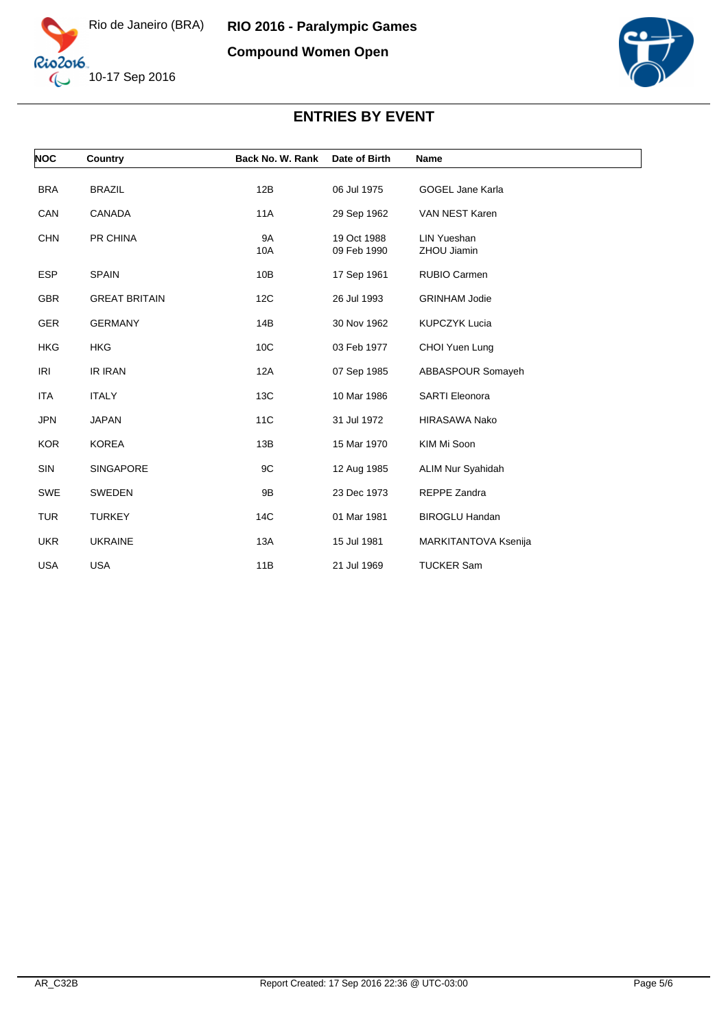



| <b>NOC</b> | Country              | Back No. W. Rank | Date of Birth              | Name                              |
|------------|----------------------|------------------|----------------------------|-----------------------------------|
| <b>BRA</b> | <b>BRAZIL</b>        | 12B              | 06 Jul 1975                | <b>GOGEL Jane Karla</b>           |
| CAN        | CANADA               | 11A              | 29 Sep 1962                | VAN NEST Karen                    |
| <b>CHN</b> | PR CHINA             | 9A<br>10A        | 19 Oct 1988<br>09 Feb 1990 | <b>LIN Yueshan</b><br>ZHOU Jiamin |
| <b>ESP</b> | <b>SPAIN</b>         | 10B              | 17 Sep 1961                | RUBIO Carmen                      |
| <b>GBR</b> | <b>GREAT BRITAIN</b> | 12C              | 26 Jul 1993                | <b>GRINHAM Jodie</b>              |
| <b>GER</b> | <b>GERMANY</b>       | 14B              | 30 Nov 1962                | <b>KUPCZYK Lucia</b>              |
| <b>HKG</b> | <b>HKG</b>           | 10 <sub>C</sub>  | 03 Feb 1977                | CHOI Yuen Lung                    |
| <b>IRI</b> | <b>IR IRAN</b>       | 12A              | 07 Sep 1985                | ABBASPOUR Somayeh                 |
| <b>ITA</b> | <b>ITALY</b>         | 13C              | 10 Mar 1986                | <b>SARTI Eleonora</b>             |
| <b>JPN</b> | <b>JAPAN</b>         | 11C              | 31 Jul 1972                | <b>HIRASAWA Nako</b>              |
| <b>KOR</b> | <b>KOREA</b>         | 13B              | 15 Mar 1970                | KIM Mi Soon                       |
| SIN        | <b>SINGAPORE</b>     | 9C               | 12 Aug 1985                | <b>ALIM Nur Syahidah</b>          |
| <b>SWE</b> | SWEDEN               | 9B               | 23 Dec 1973                | REPPE Zandra                      |
| <b>TUR</b> | <b>TURKEY</b>        | 14C              | 01 Mar 1981                | <b>BIROGLU Handan</b>             |
| <b>UKR</b> | <b>UKRAINE</b>       | 13A              | 15 Jul 1981                | MARKITANTOVA Ksenija              |
| <b>USA</b> | <b>USA</b>           | 11B              | 21 Jul 1969                | <b>TUCKER Sam</b>                 |